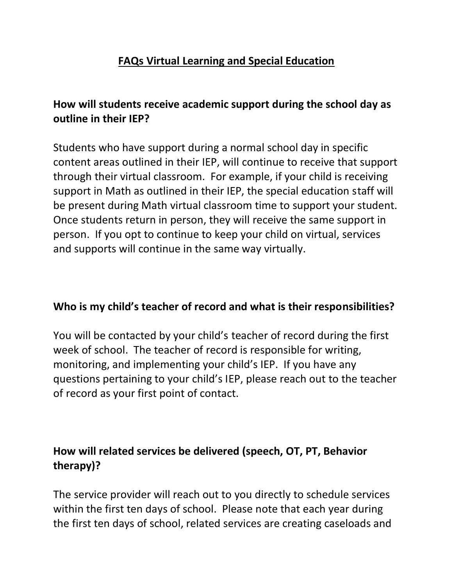### **FAQs Virtual Learning and Special Education**

# **How will students receive academic support during the school day as outline in their IEP?**

Students who have support during a normal school day in specific content areas outlined in their IEP, will continue to receive that support through their virtual classroom. For example, if your child is receiving support in Math as outlined in their IEP, the special education staff will be present during Math virtual classroom time to support your student. Once students return in person, they will receive the same support in person. If you opt to continue to keep your child on virtual, services and supports will continue in the same way virtually.

#### **Who is my child's teacher of record and what is their responsibilities?**

You will be contacted by your child's teacher of record during the first week of school. The teacher of record is responsible for writing, monitoring, and implementing your child's IEP. If you have any questions pertaining to your child's IEP, please reach out to the teacher of record as your first point of contact.

# **How will related services be delivered (speech, OT, PT, Behavior therapy)?**

The service provider will reach out to you directly to schedule services within the first ten days of school. Please note that each year during the first ten days of school, related services are creating caseloads and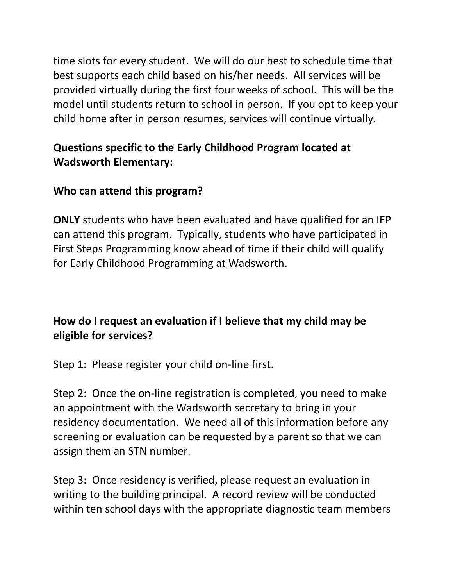time slots for every student. We will do our best to schedule time that best supports each child based on his/her needs. All services will be provided virtually during the first four weeks of school. This will be the model until students return to school in person. If you opt to keep your child home after in person resumes, services will continue virtually.

# **Questions specific to the Early Childhood Program located at Wadsworth Elementary:**

# **Who can attend this program?**

**ONLY** students who have been evaluated and have qualified for an IEP can attend this program. Typically, students who have participated in First Steps Programming know ahead of time if their child will qualify for Early Childhood Programming at Wadsworth.

# **How do I request an evaluation if I believe that my child may be eligible for services?**

Step 1: Please register your child on-line first.

Step 2: Once the on-line registration is completed, you need to make an appointment with the Wadsworth secretary to bring in your residency documentation. We need all of this information before any screening or evaluation can be requested by a parent so that we can assign them an STN number.

Step 3: Once residency is verified, please request an evaluation in writing to the building principal. A record review will be conducted within ten school days with the appropriate diagnostic team members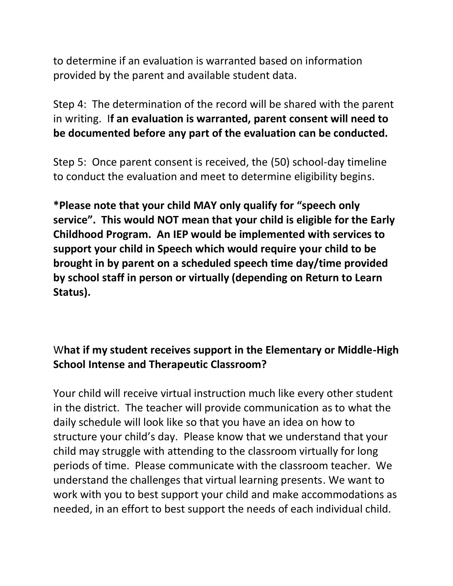to determine if an evaluation is warranted based on information provided by the parent and available student data.

Step 4: The determination of the record will be shared with the parent in writing. I**f an evaluation is warranted, parent consent will need to be documented before any part of the evaluation can be conducted.** 

Step 5: Once parent consent is received, the (50) school-day timeline to conduct the evaluation and meet to determine eligibility begins.

**\*Please note that your child MAY only qualify for "speech only service". This would NOT mean that your child is eligible for the Early Childhood Program. An IEP would be implemented with services to support your child in Speech which would require your child to be brought in by parent on a scheduled speech time day/time provided by school staff in person or virtually (depending on Return to Learn Status).**

# W**hat if my student receives support in the Elementary or Middle-High School Intense and Therapeutic Classroom?**

Your child will receive virtual instruction much like every other student in the district. The teacher will provide communication as to what the daily schedule will look like so that you have an idea on how to structure your child's day. Please know that we understand that your child may struggle with attending to the classroom virtually for long periods of time. Please communicate with the classroom teacher. We understand the challenges that virtual learning presents. We want to work with you to best support your child and make accommodations as needed, in an effort to best support the needs of each individual child.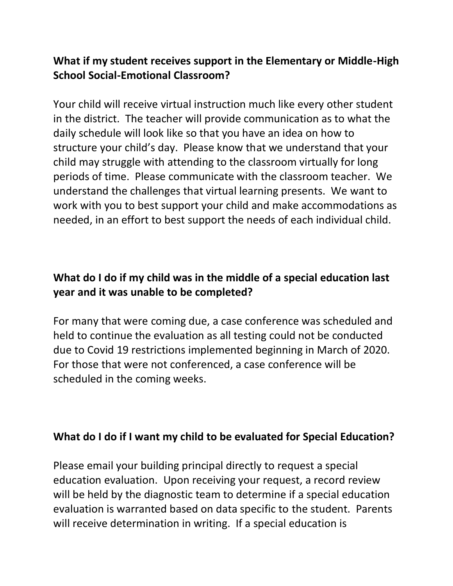### **What if my student receives support in the Elementary or Middle-High School Social-Emotional Classroom?**

Your child will receive virtual instruction much like every other student in the district. The teacher will provide communication as to what the daily schedule will look like so that you have an idea on how to structure your child's day. Please know that we understand that your child may struggle with attending to the classroom virtually for long periods of time. Please communicate with the classroom teacher. We understand the challenges that virtual learning presents. We want to work with you to best support your child and make accommodations as needed, in an effort to best support the needs of each individual child.

# **What do I do if my child was in the middle of a special education last year and it was unable to be completed?**

For many that were coming due, a case conference was scheduled and held to continue the evaluation as all testing could not be conducted due to Covid 19 restrictions implemented beginning in March of 2020. For those that were not conferenced, a case conference will be scheduled in the coming weeks.

#### **What do I do if I want my child to be evaluated for Special Education?**

Please email your building principal directly to request a special education evaluation. Upon receiving your request, a record review will be held by the diagnostic team to determine if a special education evaluation is warranted based on data specific to the student. Parents will receive determination in writing. If a special education is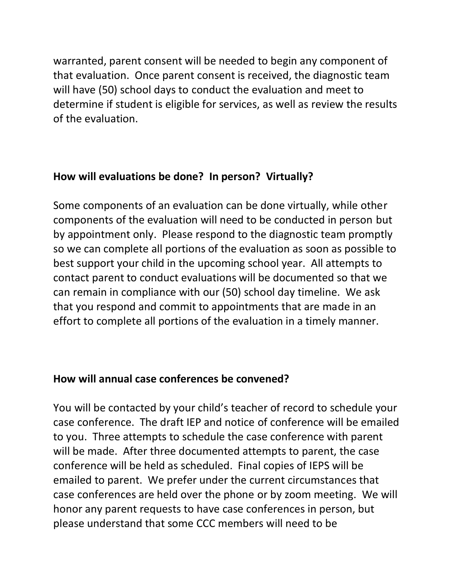warranted, parent consent will be needed to begin any component of that evaluation. Once parent consent is received, the diagnostic team will have (50) school days to conduct the evaluation and meet to determine if student is eligible for services, as well as review the results of the evaluation.

#### **How will evaluations be done? In person? Virtually?**

Some components of an evaluation can be done virtually, while other components of the evaluation will need to be conducted in person but by appointment only. Please respond to the diagnostic team promptly so we can complete all portions of the evaluation as soon as possible to best support your child in the upcoming school year. All attempts to contact parent to conduct evaluations will be documented so that we can remain in compliance with our (50) school day timeline. We ask that you respond and commit to appointments that are made in an effort to complete all portions of the evaluation in a timely manner.

#### **How will annual case conferences be convened?**

You will be contacted by your child's teacher of record to schedule your case conference. The draft IEP and notice of conference will be emailed to you. Three attempts to schedule the case conference with parent will be made. After three documented attempts to parent, the case conference will be held as scheduled. Final copies of IEPS will be emailed to parent. We prefer under the current circumstances that case conferences are held over the phone or by zoom meeting. We will honor any parent requests to have case conferences in person, but please understand that some CCC members will need to be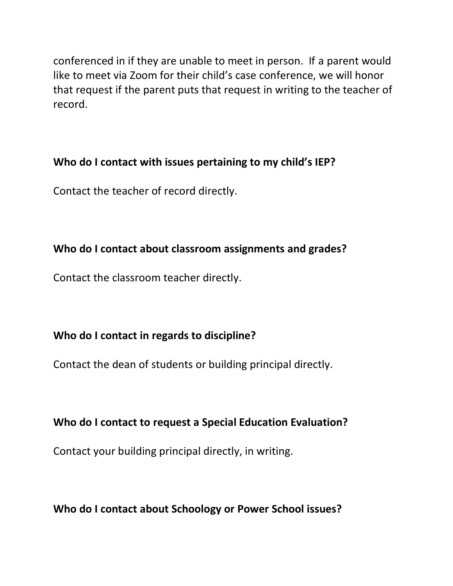conferenced in if they are unable to meet in person. If a parent would like to meet via Zoom for their child's case conference, we will honor that request if the parent puts that request in writing to the teacher of record.

#### **Who do I contact with issues pertaining to my child's IEP?**

Contact the teacher of record directly.

#### **Who do I contact about classroom assignments and grades?**

Contact the classroom teacher directly.

#### **Who do I contact in regards to discipline?**

Contact the dean of students or building principal directly.

#### **Who do I contact to request a Special Education Evaluation?**

Contact your building principal directly, in writing.

**Who do I contact about Schoology or Power School issues?**